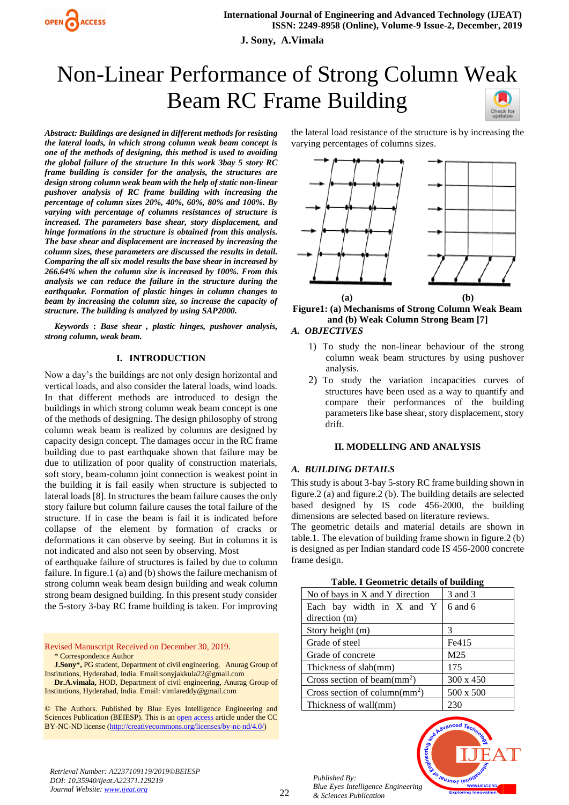

**J. Sony, A.Vimala**

# Non-Linear Performance of Strong Column Weak Beam RC Frame Building

*Abstract: Buildings are designed in different methods for resisting the lateral loads, in which strong column weak beam concept is one of the methods of designing, this method is used to avoiding the global failure of the structure In this work 3bay 5 story RC frame building is consider for the analysis, the structures are design strong column weak beam with the help of static non-linear pushover analysis of RC frame building with increasing the percentage of column sizes 20%, 40%, 60%, 80% and 100%. By varying with percentage of columns resistances of structure is increased. The parameters base shear, story displacement, and hinge formations in the structure is obtained from this analysis. The base shear and displacement are increased by increasing the column sizes, these parameters are discussed the results in detail. Comparing the all six model results the base shear in increased by 266.64% when the column size is increased by 100%. From this analysis we can reduce the failure in the structure during the earthquake. Formation of plastic hinges in column changes to beam by increasing the column size, so increase the capacity of structure. The building is analyzed by using SAP2000.*

*Keywords* **:** *Base shear , plastic hinges, pushover analysis, strong column, weak beam.* 

#### **I. INTRODUCTION**

Now a day's the buildings are not only design horizontal and vertical loads, and also consider the lateral loads, wind loads. In that different methods are introduced to design the buildings in which strong column weak beam concept is one of the methods of designing. The design philosophy of strong column weak beam is realized by columns are designed by capacity design concept. The damages occur in the RC frame building due to past earthquake shown that failure may be due to utilization of poor quality of construction materials, soft story, beam-column joint connection is weakest point in the building it is fail easily when structure is subjected to lateral loads [8]. In structures the beam failure causes the only story failure but column failure causes the total failure of the structure. If in case the beam is fail it is indicated before collapse of the element by formation of cracks or deformations it can observe by seeing. But in columns it is not indicated and also not seen by observing. Most

of earthquake failure of structures is failed by due to column failure. In figure.1 (a) and (b) shows the failure mechanism of strong column weak beam design building and weak column strong beam designed building. In this present study consider the 5-story 3-bay RC frame building is taken. For improving

Revised Manuscript Received on December 30, 2019. \* Correspondence Author

**J.Sony\*,** PG student, Department of civil engineering, Anurag Group of Institutions, Hyderabad, India. Email:sonyjakkula22@gmail.com

**Dr.A.vimala,** HOD, Department of civil engineering, Anurag Group of Institutions, Hyderabad, India. Email: vimlareddy@gmail.com

© The Authors. Published by Blue Eyes Intelligence Engineering and Sciences Publication (BEIESP). This is a[n open access](https://www.openaccess.nl/en/open-publications) article under the CC BY-NC-ND license [\(http://creativecommons.org/licenses/by-nc-nd/4.0/\)](http://creativecommons.org/licenses/by-nc-nd/4.0/)

the lateral load resistance of the structure is by increasing the varying percentages of columns sizes.



**Figure1: (a) Mechanisms of Strong Column Weak Beam and (b) Weak Column Strong Beam [7]**

## *A. OBJECTIVES*

- 1) To study the non-linear behaviour of the strong column weak beam structures by using pushover analysis.
- 2) To study the variation incapacities curves of structures have been used as a way to quantify and compare their performances of the building parameters like base shear, story displacement, story drift.

#### **II. MODELLING AND ANALYSIS**

#### *A. BUILDING DETAILS*

This study is about 3-bay 5-story RC frame building shown in figure.2 (a) and figure.2 (b). The building details are selected based designed by IS code 456-2000, the building dimensions are selected based on literature reviews.

The geometric details and material details are shown in table.1. The elevation of building frame shown in figure.2 (b) is designed as per Indian standard code IS 456-2000 concrete frame design.

|  |  | Table. I Geometric details of building |  |  |  |
|--|--|----------------------------------------|--|--|--|
|--|--|----------------------------------------|--|--|--|

| No of bays in X and Y direction         | 3 and 3          |  |
|-----------------------------------------|------------------|--|
| Each bay width in X and Y               | $6$ and $6$      |  |
| direction (m)                           |                  |  |
| Story height (m)                        | 3                |  |
| Grade of steel                          | Fe415            |  |
| Grade of concrete                       | M <sub>25</sub>  |  |
| Thickness of slab(mm)                   | 175              |  |
| Cross section of beam $\text{(mm)}^2$ ) | $300 \times 450$ |  |
| Cross section of column $(mm^2)$        | 500 x 500        |  |
| Thickness of wall(mm)                   | 230              |  |

*Published By: Blue Eyes Intelligence Engineering & Sciences Publication* 

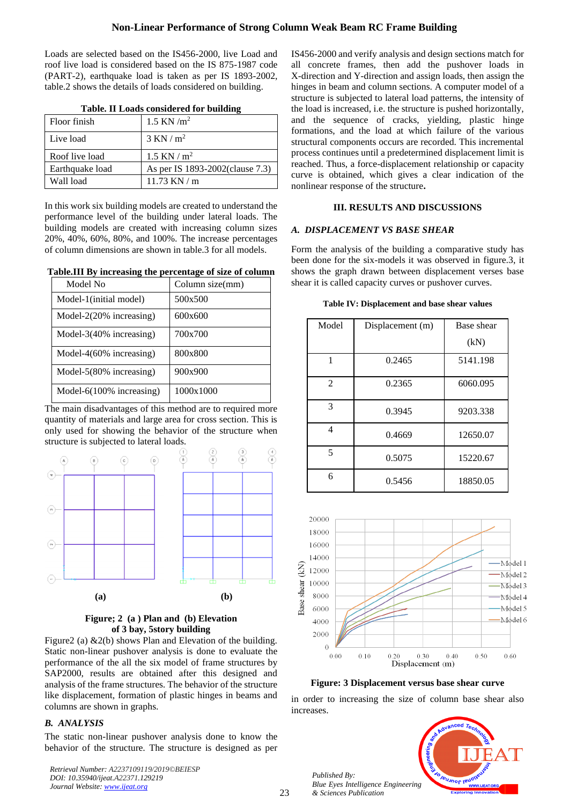Loads are selected based on the IS456-2000, live Load and roof live load is considered based on the IS 875-1987 code (PART-2), earthquake load is taken as per IS 1893-2002, table.2 shows the details of loads considered on building.

| <b>Table. II Loads considered for building</b> |  |  |  |
|------------------------------------------------|--|--|--|
|------------------------------------------------|--|--|--|

| Floor finish    | 1.5 KN $/m^2$                    |
|-----------------|----------------------------------|
| Live load       | $3$ KN / m <sup>2</sup>          |
| Roof live load  | 1.5 KN / $m^2$                   |
| Earthquake load | As per IS 1893-2002 (clause 7.3) |
| Wall load       | $11.73$ KN / m                   |

In this work six building models are created to understand the performance level of the building under lateral loads. The building models are created with increasing column sizes 20%, 40%, 60%, 80%, and 100%. The increase percentages of column dimensions are shown in table.3 for all models.

**Table.III By increasing the percentage of size of column**

| Model No                     | Column size(mm) |
|------------------------------|-----------------|
| Model-1(initial model)       | 500x500         |
| Model- $2(20\%$ increasing)  | 600x600         |
| Model-3(40% increasing)      | 700x700         |
| Model-4 $(60\%$ increasing)  | 800x800         |
| Model- $5(80\%$ increasing)  | 900x900         |
| Model- $6(100\%$ increasing) | 1000x1000       |

The main disadvantages of this method are to required more quantity of materials and large area for cross section. This is only used for showing the behavior of the structure when structure is subjected to lateral loads.





Figure2 (a) &2(b) shows Plan and Elevation of the building. Static non-linear pushover analysis is done to evaluate the performance of the all the six model of frame structures by SAP2000, results are obtained after this designed and analysis of the frame structures. The behavior of the structure like displacement, formation of plastic hinges in beams and columns are shown in graphs.

# *B. ANALYSIS*

The static non-linear pushover analysis done to know the behavior of the structure. The structure is designed as per

*Retrieval Number: A2237109119/2019©BEIESP DOI: 10.35940/ijeat.A22371.129219 Journal Website[: www.ijeat.org](http://www.ijeat.org/)*

IS456-2000 and verify analysis and design sections match for all concrete frames, then add the pushover loads in X-direction and Y-direction and assign loads, then assign the hinges in beam and column sections. A computer model of a structure is subjected to lateral load patterns, the intensity of the load is increased, i.e. the structure is pushed horizontally, and the sequence of cracks, yielding, plastic hinge formations, and the load at which failure of the various structural components occurs are recorded. This incremental process continues until a predetermined displacement limit is reached. Thus, a force-displacement relationship or capacity curve is obtained, which gives a clear indication of the nonlinear response of the structure**.**

## **III. RESULTS AND DISCUSSIONS**

## *A. DISPLACEMENT VS BASE SHEAR*

Form the analysis of the building a comparative study has been done for the six-models it was observed in figure.3, it shows the graph drawn between displacement verses base shear it is called capacity curves or pushover curves.

| Table IV: Displacement and base shear values |  |  |  |
|----------------------------------------------|--|--|--|
|----------------------------------------------|--|--|--|

| Model          | Displacement (m) | Base shear |
|----------------|------------------|------------|
|                |                  | (kN)       |
| 1              | 0.2465           | 5141.198   |
| $\overline{c}$ | 0.2365           | 6060.095   |
| 3              | 0.3945           | 9203.338   |
| 4              | 0.4669           | 12650.07   |
| 5              | 0.5075           | 15220.67   |
| 6              | 0.5456           | 18850.05   |



**Figure: 3 Displacement versus base shear curve**

in order to increasing the size of column base shear also increases.



*Published By: Blue Eyes Intelligence Engineering & Sciences Publication*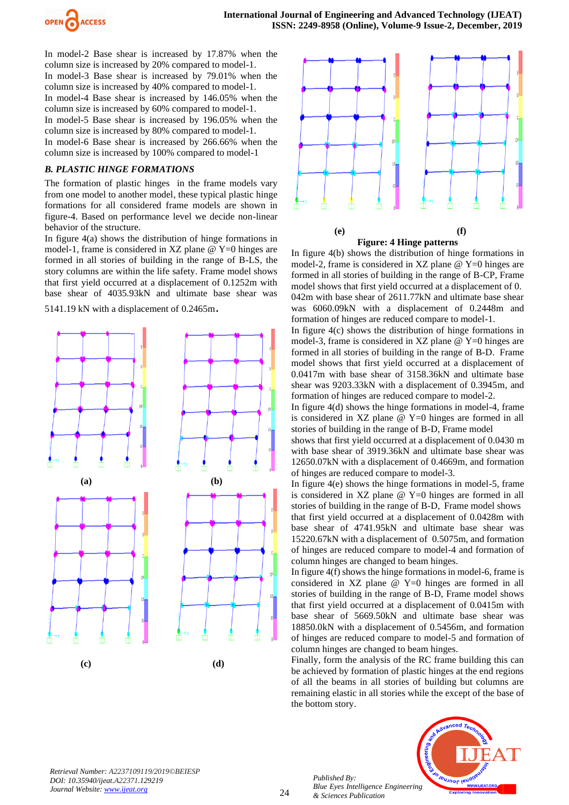

In model-2 Base shear is increased by 17.87% when the column size is increased by 20% compared to model-1. In model-3 Base shear is increased by 79.01% when the column size is increased by 40% compared to model-1. In model-4 Base shear is increased by 146.05% when the column size is increased by 60% compared to model-1. In model-5 Base shear is increased by 196.05% when the column size is increased by 80% compared to model-1. In model-6 Base shear is increased by 266.66% when the column size is increased by 100% compared to model-1

#### *B. PLASTIC HINGE FORMATIONS*

The formation of plastic hinges in the frame models vary from one model to another model, these typical plastic hinge formations for all considered frame models are shown in figure-4. Based on performance level we decide non-linear behavior of the structure.

In figure 4(a) shows the distribution of hinge formations in model-1, frame is considered in  $XZ$  plane  $\omega$  Y=0 hinges are formed in all stories of building in the range of B-LS, the story columns are within the life safety. Frame model shows that first yield occurred at a displacement of 0.1252m with base shear of 4035.93kN and ultimate base shear was

5141.19 kN with a displacement of 0.2465m.







In figure 4(b) shows the distribution of hinge formations in model-2, frame is considered in XZ plane  $@$  Y=0 hinges are formed in all stories of building in the range of B-CP, Frame model shows that first yield occurred at a displacement of 0. 042m with base shear of 2611.77kN and ultimate base shear was 6060.09kN with a displacement of 0.2448m and formation of hinges are reduced compare to model-1.

In figure 4(c) shows the distribution of hinge formations in model-3, frame is considered in  $XZ$  plane  $\omega$   $Y=0$  hinges are formed in all stories of building in the range of B-D. Frame model shows that first yield occurred at a displacement of 0.0417m with base shear of 3158.36kN and ultimate base shear was 9203.33kN with a displacement of 0.3945m, and formation of hinges are reduced compare to model-2.

In figure 4(d) shows the hinge formations in model-4, frame is considered in  $XZ$  plane  $\omega$   $Y=0$  hinges are formed in all stories of building in the range of B-D, Frame model

shows that first yield occurred at a displacement of 0.0430 m with base shear of 3919.36kN and ultimate base shear was 12650.07kN with a displacement of 0.4669m, and formation of hinges are reduced compare to model-3.

In figure 4(e) shows the hinge formations in model-5, frame is considered in  $XZ$  plane  $@$   $Y=0$  hinges are formed in all stories of building in the range of B-D, Frame model shows that first yield occurred at a displacement of 0.0428m with base shear of 4741.95kN and ultimate base shear was 15220.67kN with a displacement of 0.5075m, and formation of hinges are reduced compare to model-4 and formation of column hinges are changed to beam hinges.

In figure 4(f) shows the hinge formations in model-6, frame is considered in XZ plane @ Y=0 hinges are formed in all stories of building in the range of B-D, Frame model shows that first yield occurred at a displacement of 0.0415m with base shear of 5669.50kN and ultimate base shear was 18850.0kN with a displacement of 0.5456m, and formation of hinges are reduced compare to model-5 and formation of column hinges are changed to beam hinges.

Finally, form the analysis of the RC frame building this can be achieved by formation of plastic hinges at the end regions of all the beams in all stories of building but columns are remaining elastic in all stories while the except of the base of the bottom story.

*Retrieval Number: A2237109119/2019©BEIESP DOI: 10.35940/ijeat.A22371.129219 Journal Website[: www.ijeat.org](http://www.ijeat.org/)*

*Published By: Blue Eyes Intelligence Engineering & Sciences Publication* 

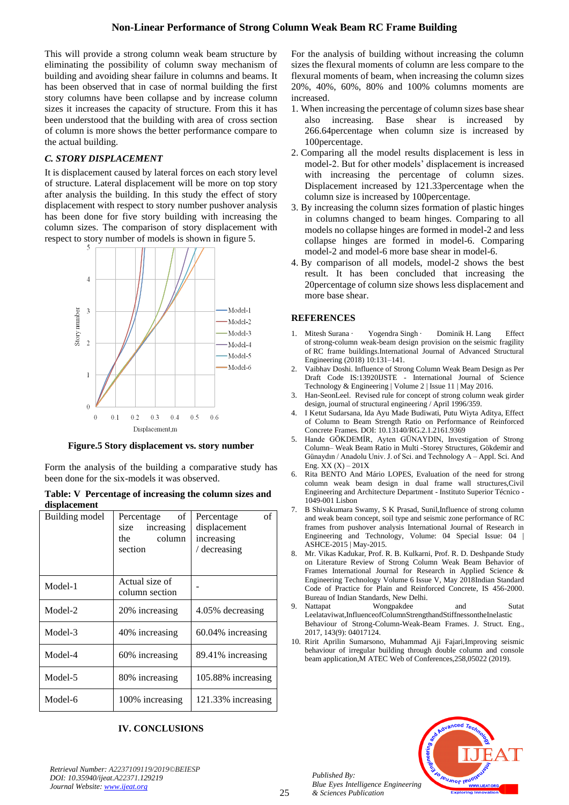This will provide a strong column weak beam structure by eliminating the possibility of column sway mechanism of building and avoiding shear failure in columns and beams. It has been observed that in case of normal building the first story columns have been collapse and by increase column sizes it increases the capacity of structure. From this it has been understood that the building with area of cross section of column is more shows the better performance compare to the actual building.

# *C. STORY DISPLACEMENT*

It is displacement caused by lateral forces on each story level of structure. Lateral displacement will be more on top story after analysis the building. In this study the effect of story displacement with respect to story number pushover analysis has been done for five story building with increasing the column sizes. The comparison of story displacement with respect to story number of models is shown in figure 5.



**Figure.5 Story displacement vs. story number**

Form the analysis of the building a comparative study has been done for the six-models it was observed.

|              | Table: V Percentage of increasing the column sizes and |
|--------------|--------------------------------------------------------|
| displacement |                                                        |

| Building model | of<br>Percentage<br>size increasing<br>column<br>the<br>section | of<br>Percentage<br>displacement<br>increasing<br>/ decreasing |
|----------------|-----------------------------------------------------------------|----------------------------------------------------------------|
| Model-1        | Actual size of<br>column section                                |                                                                |
| Model-2        | 20% increasing                                                  | 4.05% decreasing                                               |
| Model-3        | 40% increasing                                                  | 60.04% increasing                                              |
| Model-4        | 60% increasing                                                  | 89.41% increasing                                              |
| Model-5        | 80% increasing                                                  | 105.88% increasing                                             |
| Model-6        | 100% increasing                                                 | 121.33% increasing                                             |

# **IV. CONCLUSIONS**

For the analysis of building without increasing the column sizes the flexural moments of column are less compare to the flexural moments of beam, when increasing the column sizes 20%, 40%, 60%, 80% and 100% columns moments are increased.

- 1. When increasing the percentage of column sizes base shear also increasing. Base shear is increased by 266.64percentage when column size is increased by 100percentage.
- 2. Comparing all the model results displacement is less in model-2. But for other models' displacement is increased with increasing the percentage of column sizes. Displacement increased by 121.33percentage when the column size is increased by 100percentage.
- 3. By increasing the column sizes formation of plastic hinges in columns changed to beam hinges. Comparing to all models no collapse hinges are formed in model-2 and less collapse hinges are formed in model-6. Comparing model-2 and model-6 more base shear in model-6.
- 4. By comparison of all models, model-2 shows the best result. It has been concluded that increasing the 20percentage of column size shows less displacement and more base shear.

## **REFERENCES**

- 1. Mitesh Surana · Yogendra Singh · Dominik H. Lang Effect of strong-column weak-beam design provision on the seismic fragility of RC frame buildings.International Journal of Advanced Structural Engineering (2018) 10:131–141.
- 2. Vaibhav Doshi. Influence of Strong Column Weak Beam Design as Per Draft Code IS:13920IJSTE - International Journal of Science Technology & Engineering | Volume 2 | Issue 11 | May 2016.
- 3. Han-SeonLeel. Revised rule for concept of strong column weak girder design, journal of structural engineering / April 1996/359.
- 4. I Ketut Sudarsana, Ida Ayu Made Budiwati, Putu Wiyta Aditya, Effect of Column to Beam Strength Ratio on Performance of Reinforced Concrete Frames. DOI: 10.13140/RG.2.1.2161.9369
- 5. Hande GÖKDEMİR, Ayten GÜNAYDIN, Investigation of Strong Column– Weak Beam Ratio in Multi -Storey Structures, Gökdemir and Günaydın / Anadolu Univ. J. of Sci. and Technology A – Appl. Sci. And Eng.  $XX(X) - 201X$
- 6. Rita BENTO And Mário LOPES, Evaluation of the need for strong column weak beam design in dual frame wall structures,Civil Engineering and Architecture Department - Instituto Superior Técnico - 1049-001 Lisbon
- 7. B Shivakumara Swamy, S K Prasad, Sunil,Influence of strong column and weak beam concept, soil type and seismic zone performance of RC frames from pushover analysis International Journal of Research in Engineering and Technology, Volume: 04 Special Issue: 04 | ASHCE-2015 | May-2015.
- 8. Mr. Vikas Kadukar, Prof. R. B. Kulkarni, Prof. R. D. Deshpande Study on Literature Review of Strong Column Weak Beam Behavior of Frames International Journal for Research in Applied Science & Engineering Technology Volume 6 Issue V, May 2018Indian Standard Code of Practice for Plain and Reinforced Concrete, IS 456-2000. Bureau of Indian Standards, New Delhi.
- 9. Nattapat **Wongpakdee** and Sutat Leelataviwat,InfluenceofColumnStrengthandStiffnessontheInelastic Behaviour of Strong-Column-Weak-Beam Frames. J. Struct. Eng., 2017, 143(9): 04017124.
- 10. Ririt Aprilin Sumarsono, Muhammad Aji Fajari,Improving seismic behaviour of irregular building through double column and console beam application,M ATEC Web of Conferences,258,05022 (2019).



*Retrieval Number: A2237109119/2019©BEIESP DOI: 10.35940/ijeat.A22371.129219 Journal Website[: www.ijeat.org](http://www.ijeat.org/)*

*Published By:*

*& Sciences Publication*